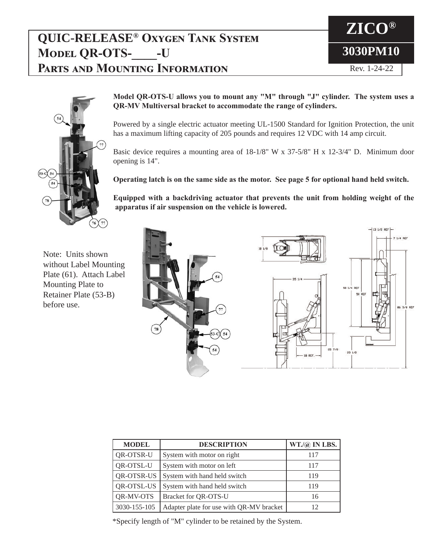## **QUIC-RELEASE® Oxygen Tank System MODEL QR-OTS-** -U **Parts and Mounting Information**





**Model QR-OTS-U allows you to mount any "M" through "J" cylinder. The system uses a QR-MV Multiversal bracket to accommodate the range of cylinders.** 

Powered by a single electric actuator meeting UL-1500 Standard for Ignition Protection, the unit has a maximum lifting capacity of 205 pounds and requires 12 VDC with 14 amp circuit.

Basic device requires a mounting area of 18-1/8" W x 37-5/8" H x 12-3/4" D. Minimum door opening is 14".

**Operating latch is on the same side as the motor. See page 5 for optional hand held switch.**

**Equipped with a backdriving actuator that prevents the unit from holding weight of the apparatus if air suspension on the vehicle is lowered.**

Note: Units shown without Label Mounting Plate (61). Attach Label Mounting Plate to Retainer Plate (53-B) before use.



| <b>MODEL</b>                      | <b>DESCRIPTION</b>                       | $WT./@$ IN LBS. |
|-----------------------------------|------------------------------------------|-----------------|
| QR-OTSR-U                         | System with motor on right               | 117             |
| QR-OTSL-U                         | System with motor on left                | 117             |
| QR-OTSR-US                        | System with hand held switch             | 119             |
| QR-OTSL-US                        | System with hand held switch             | 119             |
| Bracket for QR-OTS-U<br>QR-MV-OTS |                                          | 16              |
| 3030-155-105                      | Adapter plate for use with QR-MV bracket | 12              |

\*Specify length of "M" cylinder to be retained by the System.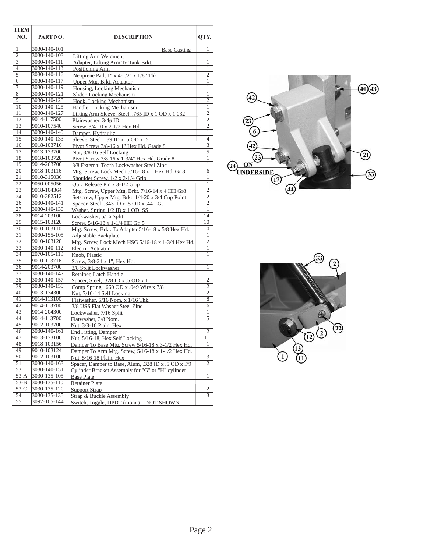| <b>ITEM</b><br>NO.      | PART NO.                   | <b>DESCRIPTION</b>                                                                                     | OTY.                |
|-------------------------|----------------------------|--------------------------------------------------------------------------------------------------------|---------------------|
| 1                       | 3030-140-101               | <b>Base Casting</b>                                                                                    | 1                   |
| $\overline{2}$          | 3030-140-103               | Lifting Arm Weldment                                                                                   | 1                   |
| $\overline{\mathbf{3}}$ | 3030-140-111               | Adapter, Lifting Arm To Tank Brkt.                                                                     | 1                   |
| $\overline{4}$          | 3030-140-113               | Positioning Arm                                                                                        | 1                   |
| $\overline{5}$          | 3030-140-116               | Neoprene Pad, $1''$ x 4- $1/2''$ x $1/8''$ Thk.                                                        | $\overline{2}$      |
| 6                       | 3030-140-117               | Upper Mtg. Brkt. Actuator                                                                              | 1                   |
| 7                       | 3030-140-119               | Housing, Locking Mechanism                                                                             | $\mathbf{1}$        |
| 8                       | 3030-140-121               | Slider, Locking Mechanism                                                                              | $\mathbf{1}$        |
| 9                       | 3030-140-123               | Hook, Locking Mechanism                                                                                | $\mathfrak{2}$      |
| 10                      | 3030-140-125               | Handle, Locking Mechanism                                                                              | 1                   |
| 11                      | 3030-140-127               | Lifting Arm Sleeve, Steel, .765 ID x 1 OD x 1.032                                                      | $\overline{c}$      |
| 12                      | 9014-117500                | Plainwasher, 3/4ø ID                                                                                   | $\overline{2}$      |
| 13                      | 9010-107540                | Screw, 3/4-10 x 2-1/2 Hex Hd.                                                                          | $\overline{2}$      |
| 14                      | 3030-140-149               | Damper, Hydraulic                                                                                      | $\mathbf{1}$        |
| 15                      | 3030-140-133               | Sleeve, Steel, $.39$ ID x $.5$ OD x $.5$                                                               | 4                   |
| 16                      | 9018-103716                | Pivot Screw 3/8-16 x 1" Hex Hd. Grade 8                                                                | $\overline{3}$      |
| 17                      | 9013-173700                | Nut, 3/8-16 Self Locking                                                                               | 5                   |
| 18                      | 9018-103728                | Pivot Screw 3/8-16 x 1-3/4" Hex Hd. Grade 8                                                            | 1                   |
| $\overline{19}$         | 9014-263700                | 3/8 External Tooth Lockwasher Steel Zinc                                                               | 1                   |
| 20                      | 9018-103116                | Mtg. Screw, Lock Mech 5/16-18 x 1 Hex Hd. Gr 8                                                         | 6                   |
| 21                      | 9010-315036                | Shoulder Screw, $1/2 \times 2$ -1/4 Grip                                                               | 1                   |
| 22                      | 9050-005056                | Quic Release Pin x 3-1/2 Grip                                                                          | $\mathbf{1}$        |
| 23                      | 9018-104364                | Mtg. Screw, Upper Mtg. Brkt. 7/16-14 x 4 HH Gr8                                                        | $\overline{c}$      |
| 24                      | 9010-382512                | Setscrew, Upper Mtg. Brkt. 1/4-20 x 3/4 Cup Point                                                      | $\overline{2}$      |
| 26                      | 3030-140-141               | Spacer, Steel, .343 ID x .5 OD x .44 LG.                                                               | $\overline{2}$      |
| 27                      | 3030-140-130               | Washer, Spring 1/2 ID x 1 OD, SS                                                                       | 1                   |
| 28                      | 9014-203100                | Lockwasher, 5/16 Split                                                                                 | 14                  |
| 29                      | 9015-103120                | Screw, 5/16-18 x 1-1/4 HH Gr. 5                                                                        | 10                  |
| 30                      | 9010-103110                | Mtg. Screw, Brkt. To Adapter 5/16-18 x 5/8 Hex Hd.                                                     | 10                  |
| 31                      | 3030-155-105               | Adjustable Backplate                                                                                   | 1                   |
| 32                      | 9010-103128                | Mtg. Screw, Lock Mech HSG 5/16-18 x 1-3/4 Hex Hd.                                                      | 2                   |
| 33                      | 3030-140-112               | Electric Actuator                                                                                      | 1                   |
| $\overline{34}$         | 2070-105-119               | Knob, Plastic                                                                                          | 1                   |
| $\overline{35}$         | 9010-113716                | Screw, 3/8-24 x 1", Hex Hd.                                                                            | 1                   |
| 36                      | 9014-203700                | 3/8 Split Lockwasher                                                                                   | 1                   |
| $\overline{37}$         | 3030-140-147               | Retainer, Latch Handle                                                                                 | 1                   |
| $\overline{38}$         | 3030-140-157               | Spacer, Steel, .328 ID x .5 OD x 1                                                                     | $\overline{2}$      |
| 39<br>40                | 3030-140-159               | Comp Spring, .660 OD x .049 Wire x 7/8                                                                 | $\overline{2}$      |
| 41                      | 9013-174300<br>9014-113100 | Nut, 7/16-14 Self Locking                                                                              | 2<br>$\overline{8}$ |
| 42                      | 9014-113700                | Flatwasher, 5/16 Nom. x 1/16 Thk.                                                                      |                     |
| 43                      | 9014-204300                | 3/8 USS Flat Washer Steel Zinc                                                                         | 6<br>1              |
| 44                      | 9014-113700                | Lockwasher, 7/16 Split                                                                                 | 5                   |
| 45                      | 9012-103700                | Flatwasher, 3/8 Nom.                                                                                   | $\mathbf{1}$        |
| 46                      | 3030-140-161               | Nut, 3/8-16 Plain, Hex                                                                                 | $\overline{c}$      |
| 47                      | 9013-173100                | End Fitting, Damper                                                                                    | 11                  |
| 48                      | 9018-103156                | Nut, 5/16-18, Hex Self Locking                                                                         | 1                   |
| 49                      | 9010-103124                | Damper To Base Mtg. Screw 5/16-18 x 3-1/2 Hex Hd.<br>Damper To Arm Mtg. Screw, 5/16-18 x 1-1/2 Hex Hd. | $\mathbf{1}$        |
| 50                      | 9012-103100                | Nut, 5/16-18 Plain, Hex                                                                                | 3                   |
| 51                      | 3030-140-163               | Spacer, Damper to Base, Alum, .328 ID x .5 OD x .79                                                    | 2                   |
| 53                      | 3030-140-151               | Cylinder Bracket Assembly for "G" or "H" cylinder                                                      | $\mathbf{1}$        |
| $53-A$                  | 3030-135-105               | <b>Base Plate</b>                                                                                      | $\mathbf{1}$        |
| $53-B$                  | 3030-135-110               | <b>Retainer Plate</b>                                                                                  | $\mathbf{1}$        |
| $53-C$                  | 3030-135-120               | <b>Support Strap</b>                                                                                   | $\overline{2}$      |
| 54                      | 3030-135-135               | <b>Strap &amp; Buckle Assembly</b>                                                                     | $\overline{3}$      |
| $\overline{55}$         | 3097-105-144               | <b>NOT SHOWN</b><br>Switch, Toggle, DPDT (mom.)                                                        | 1                   |
|                         |                            |                                                                                                        |                     |



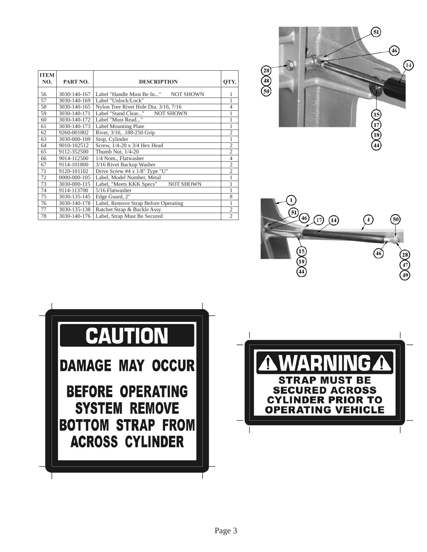| <b>ITEM</b><br>NO. | PART NO.     | <b>DESCRIPTION</b>                            | OTY.           |
|--------------------|--------------|-----------------------------------------------|----------------|
| 56                 | 3030-140-167 | Label "Handle Must Be In"<br><b>NOT SHOWN</b> | 1              |
| 57                 | 3030-140-169 | Label "Unlock/Lock"                           | $\mathbf{1}$   |
| 58                 | 3030-140-165 | Nylon Tree Rivet Hole Dia. 3/16, 7/16         | $\overline{4}$ |
| 59                 | 3030-140-171 | Label "Stand Clear"<br><b>NOT SHOWN</b>       | $\mathbf{1}$   |
| 60                 | 3030-140-172 | Label "Must Read"                             | $\mathbf{1}$   |
| 61                 | 3030-140-173 | <b>Label Mounting Plate</b>                   | $\mathbf{1}$   |
| 62                 | 9260-001802  | Rivet, 3/16, .188-250 Grip                    | $\mathfrak{2}$ |
| 63                 | 3030-000-109 | Stop, Cylinder                                | $\mathbf{1}$   |
| 64                 | 9010-102512  | Screw, 1/4-20 x 3/4 Hex Head                  | $\mathfrak{2}$ |
| 65                 | 9112-352500  | Thumb Nut, 1/4-20                             | $\overline{2}$ |
| 66                 | 9014-112500  | 1/4 Nom., Flatwasher                          | $\overline{4}$ |
| 67                 | 9114-101800  | 3/16 Rivet Backup Washer                      | $\mathfrak{2}$ |
| 71                 | 9120-101102  | Drive Screw #4 $x$ 1/8" Type "U"              | $\overline{2}$ |
| 72                 | 0000-000-105 | Label, Model Number, Metal                    | $\mathbf{1}$   |
| 73                 | 3030-000-115 | Label, "Meets KKK Specs"<br><b>NOT SHOWN</b>  | 1              |
| 74                 | 9114-113700  | 5/16 Flatwasher                               | 1              |
| 75                 | 3030-135-145 | Edge Guard, 2"                                | 8              |
| 76                 | 3030-140-178 | Label, Remove Strap Before Operating          | $\mathbf{1}$   |
| 77                 | 3030-135-138 | Ratchet Strap & Buckle Assy.                  | $\overline{2}$ |
| 78                 | 3030-140-176 | Label, Strap Must Be Secured                  | $\overline{2}$ |







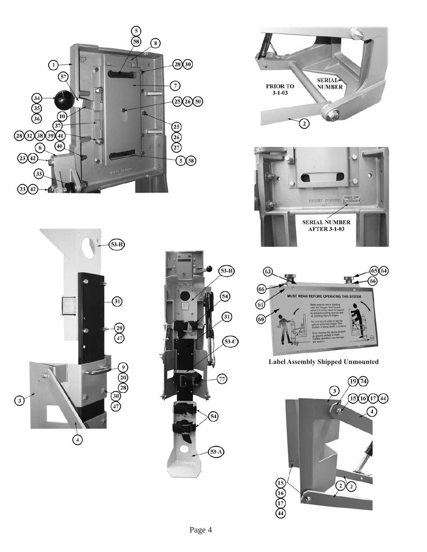











**Label Assembly Shipped Unmounted**